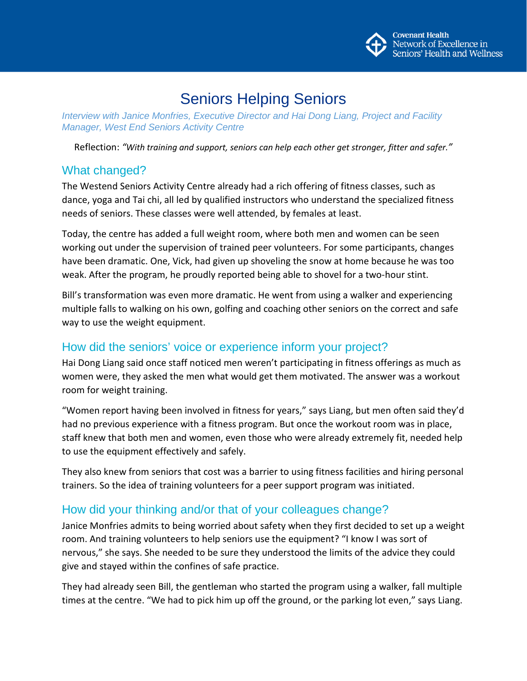

# Seniors Helping Seniors

*Interview with Janice Monfries, Executive Director and Hai Dong Liang, Project and Facility Manager, West End Seniors Activity Centre*

Reflection: *"With training and support, seniors can help each other get stronger, fitter and safer."*

#### What changed?

The Westend Seniors Activity Centre already had a rich offering of fitness classes, such as dance, yoga and Tai chi, all led by qualified instructors who understand the specialized fitness needs of seniors. These classes were well attended, by females at least.

Today, the centre has added a full weight room, where both men and women can be seen working out under the supervision of trained peer volunteers. For some participants, changes have been dramatic. One, Vick, had given up shoveling the snow at home because he was too weak. After the program, he proudly reported being able to shovel for a two-hour stint.

Bill's transformation was even more dramatic. He went from using a walker and experiencing multiple falls to walking on his own, golfing and coaching other seniors on the correct and safe way to use the weight equipment.

## How did the seniors' voice or experience inform your project?

Hai Dong Liang said once staff noticed men weren't participating in fitness offerings as much as women were, they asked the men what would get them motivated. The answer was a workout room for weight training.

"Women report having been involved in fitness for years," says Liang, but men often said they'd had no previous experience with a fitness program. But once the workout room was in place, staff knew that both men and women, even those who were already extremely fit, needed help to use the equipment effectively and safely.

They also knew from seniors that cost was a barrier to using fitness facilities and hiring personal trainers. So the idea of training volunteers for a peer support program was initiated.

## How did your thinking and/or that of your colleagues change?

Janice Monfries admits to being worried about safety when they first decided to set up a weight room. And training volunteers to help seniors use the equipment? "I know I was sort of nervous," she says. She needed to be sure they understood the limits of the advice they could give and stayed within the confines of safe practice.

They had already seen Bill, the gentleman who started the program using a walker, fall multiple times at the centre. "We had to pick him up off the ground, or the parking lot even," says Liang.